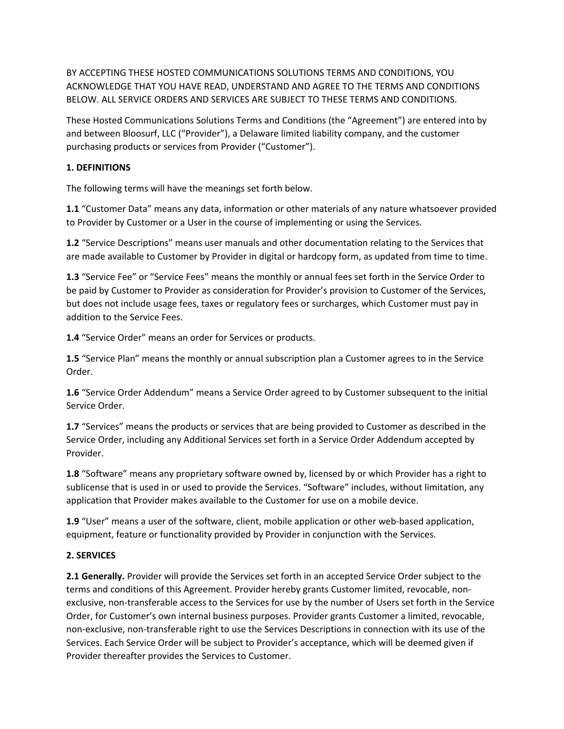BY ACCEPTING THESE HOSTED COMMUNICATIONS SOLUTIONS TERMS AND CONDITIONS, YOU ACKNOWLEDGE THAT YOU HAVE READ, UNDERSTAND AND AGREE TO THE TERMS AND CONDITIONS BELOW. ALL SERVICE ORDERS AND SERVICES ARE SUBJECT TO THESE TERMS AND CONDITIONS.

These Hosted Communications Solutions Terms and Conditions (the "Agreement") are entered into by and between Bloosurf, LLC ("Provider"), a Delaware limited liability company, and the customer purchasing products or services from Provider ("Customer").

# **1. DEFINITIONS**

The following terms will have the meanings set forth below.

**1.1** "Customer Data" means any data, information or other materials of any nature whatsoever provided to Provider by Customer or a User in the course of implementing or using the Services.

**1.2** "Service Descriptions" means user manuals and other documentation relating to the Services that are made available to Customer by Provider in digital or hardcopy form, as updated from time to time.

**1.3** "Service Fee" or "Service Fees" means the monthly or annual fees set forth in the Service Order to be paid by Customer to Provider as consideration for Provider's provision to Customer of the Services, but does not include usage fees, taxes or regulatory fees or surcharges, which Customer must pay in addition to the Service Fees.

**1.4** "Service Order" means an order for Services or products.

**1.5** "Service Plan" means the monthly or annual subscription plan a Customer agrees to in the Service Order.

**1.6** "Service Order Addendum" means a Service Order agreed to by Customer subsequent to the initial Service Order.

**1.7** "Services" means the products or services that are being provided to Customer as described in the Service Order, including any Additional Services set forth in a Service Order Addendum accepted by Provider.

**1.8** "Software" means any proprietary software owned by, licensed by or which Provider has a right to sublicense that is used in or used to provide the Services. "Software" includes, without limitation, any application that Provider makes available to the Customer for use on a mobile device.

**1.9** "User" means a user of the software, client, mobile application or other web-based application, equipment, feature or functionality provided by Provider in conjunction with the Services.

# **2. SERVICES**

**2.1 Generally.** Provider will provide the Services set forth in an accepted Service Order subject to the terms and conditions of this Agreement. Provider hereby grants Customer limited, revocable, nonexclusive, non-transferable access to the Services for use by the number of Users set forth in the Service Order, for Customer's own internal business purposes. Provider grants Customer a limited, revocable, non-exclusive, non-transferable right to use the Services Descriptions in connection with its use of the Services. Each Service Order will be subject to Provider's acceptance, which will be deemed given if Provider thereafter provides the Services to Customer.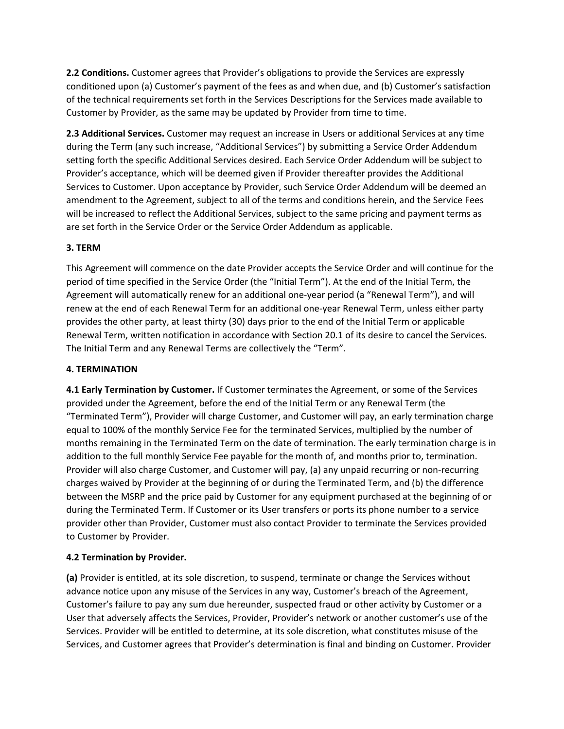**2.2 Conditions.** Customer agrees that Provider's obligations to provide the Services are expressly conditioned upon (a) Customer's payment of the fees as and when due, and (b) Customer's satisfaction of the technical requirements set forth in the Services Descriptions for the Services made available to Customer by Provider, as the same may be updated by Provider from time to time.

**2.3 Additional Services.** Customer may request an increase in Users or additional Services at any time during the Term (any such increase, "Additional Services") by submitting a Service Order Addendum setting forth the specific Additional Services desired. Each Service Order Addendum will be subject to Provider's acceptance, which will be deemed given if Provider thereafter provides the Additional Services to Customer. Upon acceptance by Provider, such Service Order Addendum will be deemed an amendment to the Agreement, subject to all of the terms and conditions herein, and the Service Fees will be increased to reflect the Additional Services, subject to the same pricing and payment terms as are set forth in the Service Order or the Service Order Addendum as applicable.

# **3. TERM**

This Agreement will commence on the date Provider accepts the Service Order and will continue for the period of time specified in the Service Order (the "Initial Term"). At the end of the Initial Term, the Agreement will automatically renew for an additional one-year period (a "Renewal Term"), and will renew at the end of each Renewal Term for an additional one-year Renewal Term, unless either party provides the other party, at least thirty (30) days prior to the end of the Initial Term or applicable Renewal Term, written notification in accordance with Section 20.1 of its desire to cancel the Services. The Initial Term and any Renewal Terms are collectively the "Term".

## **4. TERMINATION**

**4.1 Early Termination by Customer.** If Customer terminates the Agreement, or some of the Services provided under the Agreement, before the end of the Initial Term or any Renewal Term (the "Terminated Term"), Provider will charge Customer, and Customer will pay, an early termination charge equal to 100% of the monthly Service Fee for the terminated Services, multiplied by the number of months remaining in the Terminated Term on the date of termination. The early termination charge is in addition to the full monthly Service Fee payable for the month of, and months prior to, termination. Provider will also charge Customer, and Customer will pay, (a) any unpaid recurring or non-recurring charges waived by Provider at the beginning of or during the Terminated Term, and (b) the difference between the MSRP and the price paid by Customer for any equipment purchased at the beginning of or during the Terminated Term. If Customer or its User transfers or ports its phone number to a service provider other than Provider, Customer must also contact Provider to terminate the Services provided to Customer by Provider.

# **4.2 Termination by Provider.**

**(a)** Provider is entitled, at its sole discretion, to suspend, terminate or change the Services without advance notice upon any misuse of the Services in any way, Customer's breach of the Agreement, Customer's failure to pay any sum due hereunder, suspected fraud or other activity by Customer or a User that adversely affects the Services, Provider, Provider's network or another customer's use of the Services. Provider will be entitled to determine, at its sole discretion, what constitutes misuse of the Services, and Customer agrees that Provider's determination is final and binding on Customer. Provider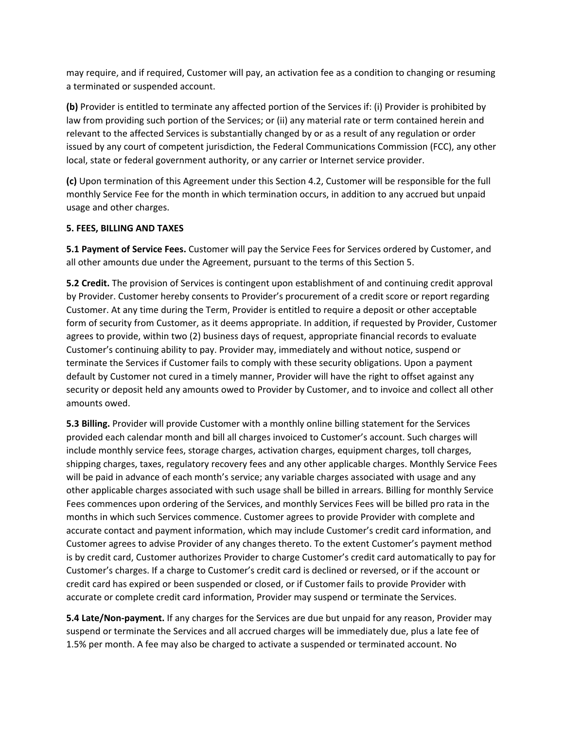may require, and if required, Customer will pay, an activation fee as a condition to changing or resuming a terminated or suspended account.

**(b)** Provider is entitled to terminate any affected portion of the Services if: (i) Provider is prohibited by law from providing such portion of the Services; or (ii) any material rate or term contained herein and relevant to the affected Services is substantially changed by or as a result of any regulation or order issued by any court of competent jurisdiction, the Federal Communications Commission (FCC), any other local, state or federal government authority, or any carrier or Internet service provider.

**(c)** Upon termination of this Agreement under this Section 4.2, Customer will be responsible for the full monthly Service Fee for the month in which termination occurs, in addition to any accrued but unpaid usage and other charges.

### **5. FEES, BILLING AND TAXES**

**5.1 Payment of Service Fees.** Customer will pay the Service Fees for Services ordered by Customer, and all other amounts due under the Agreement, pursuant to the terms of this Section 5.

**5.2 Credit.** The provision of Services is contingent upon establishment of and continuing credit approval by Provider. Customer hereby consents to Provider's procurement of a credit score or report regarding Customer. At any time during the Term, Provider is entitled to require a deposit or other acceptable form of security from Customer, as it deems appropriate. In addition, if requested by Provider, Customer agrees to provide, within two (2) business days of request, appropriate financial records to evaluate Customer's continuing ability to pay. Provider may, immediately and without notice, suspend or terminate the Services if Customer fails to comply with these security obligations. Upon a payment default by Customer not cured in a timely manner, Provider will have the right to offset against any security or deposit held any amounts owed to Provider by Customer, and to invoice and collect all other amounts owed.

**5.3 Billing.** Provider will provide Customer with a monthly online billing statement for the Services provided each calendar month and bill all charges invoiced to Customer's account. Such charges will include monthly service fees, storage charges, activation charges, equipment charges, toll charges, shipping charges, taxes, regulatory recovery fees and any other applicable charges. Monthly Service Fees will be paid in advance of each month's service; any variable charges associated with usage and any other applicable charges associated with such usage shall be billed in arrears. Billing for monthly Service Fees commences upon ordering of the Services, and monthly Services Fees will be billed pro rata in the months in which such Services commence. Customer agrees to provide Provider with complete and accurate contact and payment information, which may include Customer's credit card information, and Customer agrees to advise Provider of any changes thereto. To the extent Customer's payment method is by credit card, Customer authorizes Provider to charge Customer's credit card automatically to pay for Customer's charges. If a charge to Customer's credit card is declined or reversed, or if the account or credit card has expired or been suspended or closed, or if Customer fails to provide Provider with accurate or complete credit card information, Provider may suspend or terminate the Services.

**5.4 Late/Non-payment.** If any charges for the Services are due but unpaid for any reason, Provider may suspend or terminate the Services and all accrued charges will be immediately due, plus a late fee of 1.5% per month. A fee may also be charged to activate a suspended or terminated account. No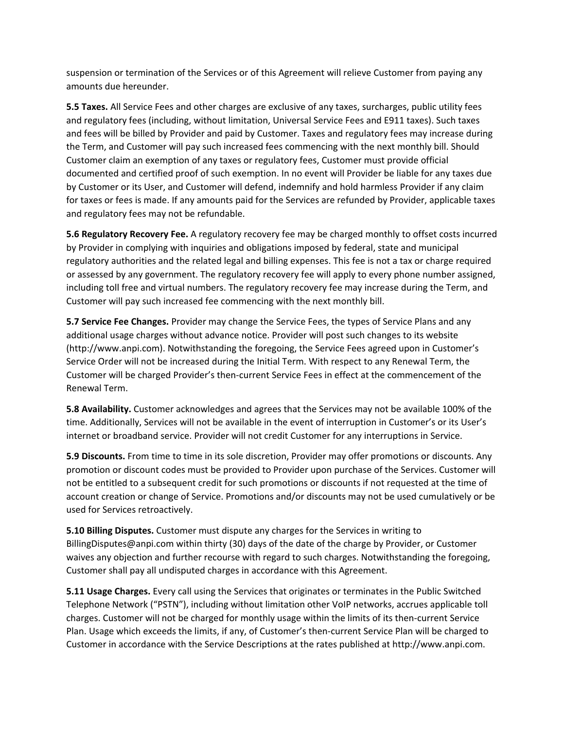suspension or termination of the Services or of this Agreement will relieve Customer from paying any amounts due hereunder.

**5.5 Taxes.** All Service Fees and other charges are exclusive of any taxes, surcharges, public utility fees and regulatory fees (including, without limitation, Universal Service Fees and E911 taxes). Such taxes and fees will be billed by Provider and paid by Customer. Taxes and regulatory fees may increase during the Term, and Customer will pay such increased fees commencing with the next monthly bill. Should Customer claim an exemption of any taxes or regulatory fees, Customer must provide official documented and certified proof of such exemption. In no event will Provider be liable for any taxes due by Customer or its User, and Customer will defend, indemnify and hold harmless Provider if any claim for taxes or fees is made. If any amounts paid for the Services are refunded by Provider, applicable taxes and regulatory fees may not be refundable.

**5.6 Regulatory Recovery Fee.** A regulatory recovery fee may be charged monthly to offset costs incurred by Provider in complying with inquiries and obligations imposed by federal, state and municipal regulatory authorities and the related legal and billing expenses. This fee is not a tax or charge required or assessed by any government. The regulatory recovery fee will apply to every phone number assigned, including toll free and virtual numbers. The regulatory recovery fee may increase during the Term, and Customer will pay such increased fee commencing with the next monthly bill.

**5.7 Service Fee Changes.** Provider may change the Service Fees, the types of Service Plans and any additional usage charges without advance notice. Provider will post such changes to its website (http://www.anpi.com). Notwithstanding the foregoing, the Service Fees agreed upon in Customer's Service Order will not be increased during the Initial Term. With respect to any Renewal Term, the Customer will be charged Provider's then-current Service Fees in effect at the commencement of the Renewal Term.

**5.8 Availability.** Customer acknowledges and agrees that the Services may not be available 100% of the time. Additionally, Services will not be available in the event of interruption in Customer's or its User's internet or broadband service. Provider will not credit Customer for any interruptions in Service.

**5.9 Discounts.** From time to time in its sole discretion, Provider may offer promotions or discounts. Any promotion or discount codes must be provided to Provider upon purchase of the Services. Customer will not be entitled to a subsequent credit for such promotions or discounts if not requested at the time of account creation or change of Service. Promotions and/or discounts may not be used cumulatively or be used for Services retroactively.

**5.10 Billing Disputes.** Customer must dispute any charges for the Services in writing to BillingDisputes@anpi.com within thirty (30) days of the date of the charge by Provider, or Customer waives any objection and further recourse with regard to such charges. Notwithstanding the foregoing, Customer shall pay all undisputed charges in accordance with this Agreement.

**5.11 Usage Charges.** Every call using the Services that originates or terminates in the Public Switched Telephone Network ("PSTN"), including without limitation other VoIP networks, accrues applicable toll charges. Customer will not be charged for monthly usage within the limits of its then-current Service Plan. Usage which exceeds the limits, if any, of Customer's then-current Service Plan will be charged to Customer in accordance with the Service Descriptions at the rates published at http://www.anpi.com.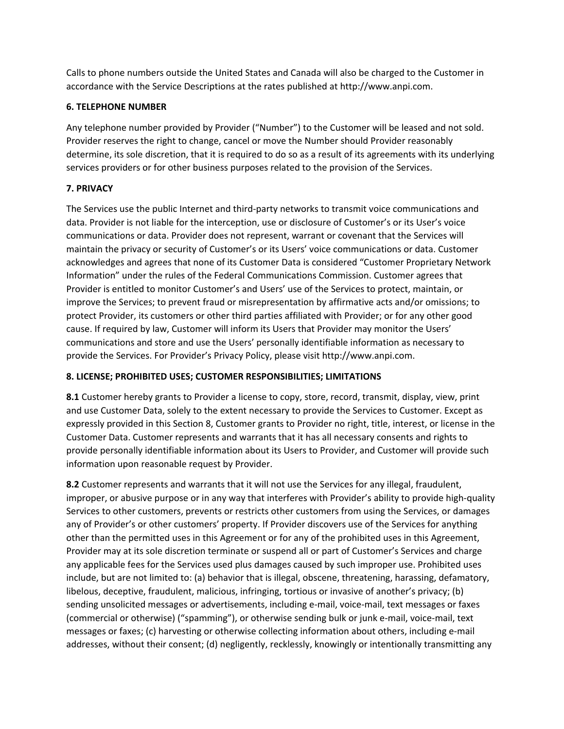Calls to phone numbers outside the United States and Canada will also be charged to the Customer in accordance with the Service Descriptions at the rates published at http://www.anpi.com.

### **6. TELEPHONE NUMBER**

Any telephone number provided by Provider ("Number") to the Customer will be leased and not sold. Provider reserves the right to change, cancel or move the Number should Provider reasonably determine, its sole discretion, that it is required to do so as a result of its agreements with its underlying services providers or for other business purposes related to the provision of the Services.

# **7. PRIVACY**

The Services use the public Internet and third-party networks to transmit voice communications and data. Provider is not liable for the interception, use or disclosure of Customer's or its User's voice communications or data. Provider does not represent, warrant or covenant that the Services will maintain the privacy or security of Customer's or its Users' voice communications or data. Customer acknowledges and agrees that none of its Customer Data is considered "Customer Proprietary Network Information" under the rules of the Federal Communications Commission. Customer agrees that Provider is entitled to monitor Customer's and Users' use of the Services to protect, maintain, or improve the Services; to prevent fraud or misrepresentation by affirmative acts and/or omissions; to protect Provider, its customers or other third parties affiliated with Provider; or for any other good cause. If required by law, Customer will inform its Users that Provider may monitor the Users' communications and store and use the Users' personally identifiable information as necessary to provide the Services. For Provider's Privacy Policy, please visit http://www.anpi.com.

# **8. LICENSE; PROHIBITED USES; CUSTOMER RESPONSIBILITIES; LIMITATIONS**

**8.1** Customer hereby grants to Provider a license to copy, store, record, transmit, display, view, print and use Customer Data, solely to the extent necessary to provide the Services to Customer. Except as expressly provided in this Section 8, Customer grants to Provider no right, title, interest, or license in the Customer Data. Customer represents and warrants that it has all necessary consents and rights to provide personally identifiable information about its Users to Provider, and Customer will provide such information upon reasonable request by Provider.

**8.2** Customer represents and warrants that it will not use the Services for any illegal, fraudulent, improper, or abusive purpose or in any way that interferes with Provider's ability to provide high-quality Services to other customers, prevents or restricts other customers from using the Services, or damages any of Provider's or other customers' property. If Provider discovers use of the Services for anything other than the permitted uses in this Agreement or for any of the prohibited uses in this Agreement, Provider may at its sole discretion terminate or suspend all or part of Customer's Services and charge any applicable fees for the Services used plus damages caused by such improper use. Prohibited uses include, but are not limited to: (a) behavior that is illegal, obscene, threatening, harassing, defamatory, libelous, deceptive, fraudulent, malicious, infringing, tortious or invasive of another's privacy; (b) sending unsolicited messages or advertisements, including e-mail, voice-mail, text messages or faxes (commercial or otherwise) ("spamming"), or otherwise sending bulk or junk e-mail, voice-mail, text messages or faxes; (c) harvesting or otherwise collecting information about others, including e-mail addresses, without their consent; (d) negligently, recklessly, knowingly or intentionally transmitting any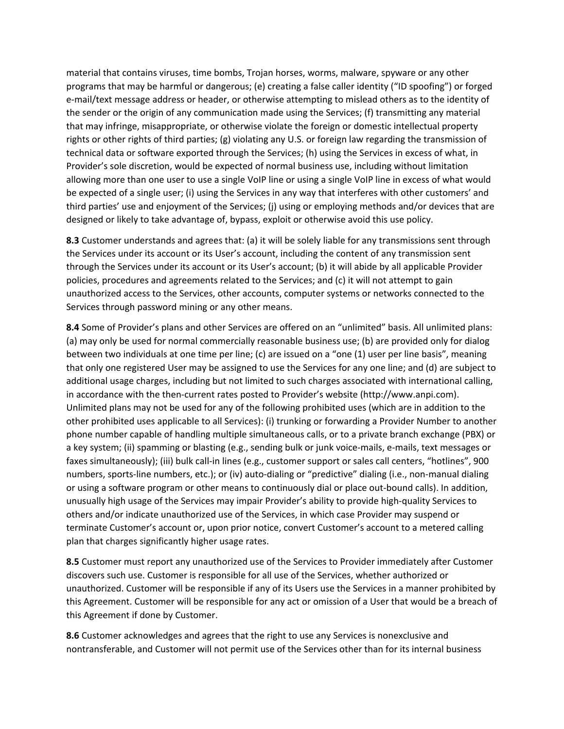material that contains viruses, time bombs, Trojan horses, worms, malware, spyware or any other programs that may be harmful or dangerous; (e) creating a false caller identity ("ID spoofing") or forged e-mail/text message address or header, or otherwise attempting to mislead others as to the identity of the sender or the origin of any communication made using the Services; (f) transmitting any material that may infringe, misappropriate, or otherwise violate the foreign or domestic intellectual property rights or other rights of third parties; (g) violating any U.S. or foreign law regarding the transmission of technical data or software exported through the Services; (h) using the Services in excess of what, in Provider's sole discretion, would be expected of normal business use, including without limitation allowing more than one user to use a single VoIP line or using a single VoIP line in excess of what would be expected of a single user; (i) using the Services in any way that interferes with other customers' and third parties' use and enjoyment of the Services; (j) using or employing methods and/or devices that are designed or likely to take advantage of, bypass, exploit or otherwise avoid this use policy.

**8.3** Customer understands and agrees that: (a) it will be solely liable for any transmissions sent through the Services under its account or its User's account, including the content of any transmission sent through the Services under its account or its User's account; (b) it will abide by all applicable Provider policies, procedures and agreements related to the Services; and (c) it will not attempt to gain unauthorized access to the Services, other accounts, computer systems or networks connected to the Services through password mining or any other means.

**8.4** Some of Provider's plans and other Services are offered on an "unlimited" basis. All unlimited plans: (a) may only be used for normal commercially reasonable business use; (b) are provided only for dialog between two individuals at one time per line; (c) are issued on a "one (1) user per line basis", meaning that only one registered User may be assigned to use the Services for any one line; and (d) are subject to additional usage charges, including but not limited to such charges associated with international calling, in accordance with the then-current rates posted to Provider's website (http://www.anpi.com). Unlimited plans may not be used for any of the following prohibited uses (which are in addition to the other prohibited uses applicable to all Services): (i) trunking or forwarding a Provider Number to another phone number capable of handling multiple simultaneous calls, or to a private branch exchange (PBX) or a key system; (ii) spamming or blasting (e.g., sending bulk or junk voice-mails, e-mails, text messages or faxes simultaneously); (iii) bulk call-in lines (e.g., customer support or sales call centers, "hotlines", 900 numbers, sports-line numbers, etc.); or (iv) auto-dialing or "predictive" dialing (i.e., non-manual dialing or using a software program or other means to continuously dial or place out-bound calls). In addition, unusually high usage of the Services may impair Provider's ability to provide high-quality Services to others and/or indicate unauthorized use of the Services, in which case Provider may suspend or terminate Customer's account or, upon prior notice, convert Customer's account to a metered calling plan that charges significantly higher usage rates.

**8.5** Customer must report any unauthorized use of the Services to Provider immediately after Customer discovers such use. Customer is responsible for all use of the Services, whether authorized or unauthorized. Customer will be responsible if any of its Users use the Services in a manner prohibited by this Agreement. Customer will be responsible for any act or omission of a User that would be a breach of this Agreement if done by Customer.

**8.6** Customer acknowledges and agrees that the right to use any Services is nonexclusive and nontransferable, and Customer will not permit use of the Services other than for its internal business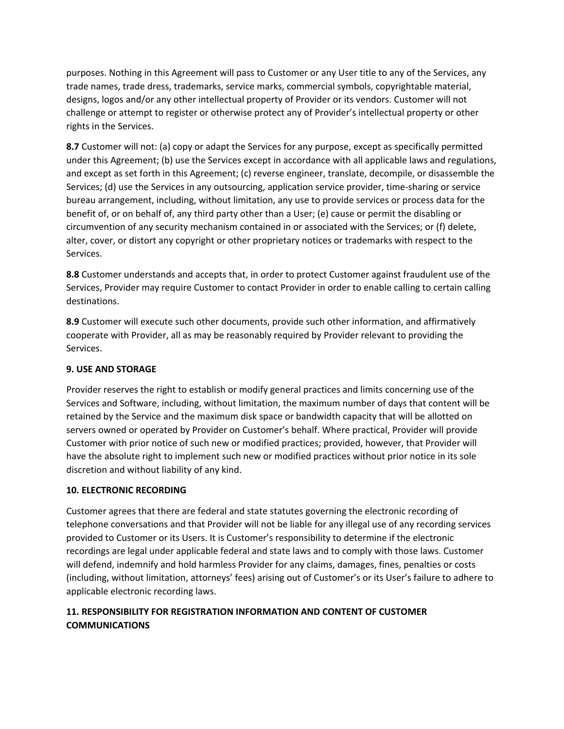purposes. Nothing in this Agreement will pass to Customer or any User title to any of the Services, any trade names, trade dress, trademarks, service marks, commercial symbols, copyrightable material, designs, logos and/or any other intellectual property of Provider or its vendors. Customer will not challenge or attempt to register or otherwise protect any of Provider's intellectual property or other rights in the Services.

**8.7** Customer will not: (a) copy or adapt the Services for any purpose, except as specifically permitted under this Agreement; (b) use the Services except in accordance with all applicable laws and regulations, and except as set forth in this Agreement; (c) reverse engineer, translate, decompile, or disassemble the Services; (d) use the Services in any outsourcing, application service provider, time-sharing or service bureau arrangement, including, without limitation, any use to provide services or process data for the benefit of, or on behalf of, any third party other than a User; (e) cause or permit the disabling or circumvention of any security mechanism contained in or associated with the Services; or (f) delete, alter, cover, or distort any copyright or other proprietary notices or trademarks with respect to the Services.

**8.8** Customer understands and accepts that, in order to protect Customer against fraudulent use of the Services, Provider may require Customer to contact Provider in order to enable calling to certain calling destinations.

**8.9** Customer will execute such other documents, provide such other information, and affirmatively cooperate with Provider, all as may be reasonably required by Provider relevant to providing the Services.

## **9. USE AND STORAGE**

Provider reserves the right to establish or modify general practices and limits concerning use of the Services and Software, including, without limitation, the maximum number of days that content will be retained by the Service and the maximum disk space or bandwidth capacity that will be allotted on servers owned or operated by Provider on Customer's behalf. Where practical, Provider will provide Customer with prior notice of such new or modified practices; provided, however, that Provider will have the absolute right to implement such new or modified practices without prior notice in its sole discretion and without liability of any kind.

### **10. ELECTRONIC RECORDING**

Customer agrees that there are federal and state statutes governing the electronic recording of telephone conversations and that Provider will not be liable for any illegal use of any recording services provided to Customer or its Users. It is Customer's responsibility to determine if the electronic recordings are legal under applicable federal and state laws and to comply with those laws. Customer will defend, indemnify and hold harmless Provider for any claims, damages, fines, penalties or costs (including, without limitation, attorneys' fees) arising out of Customer's or its User's failure to adhere to applicable electronic recording laws.

# **11. RESPONSIBILITY FOR REGISTRATION INFORMATION AND CONTENT OF CUSTOMER COMMUNICATIONS**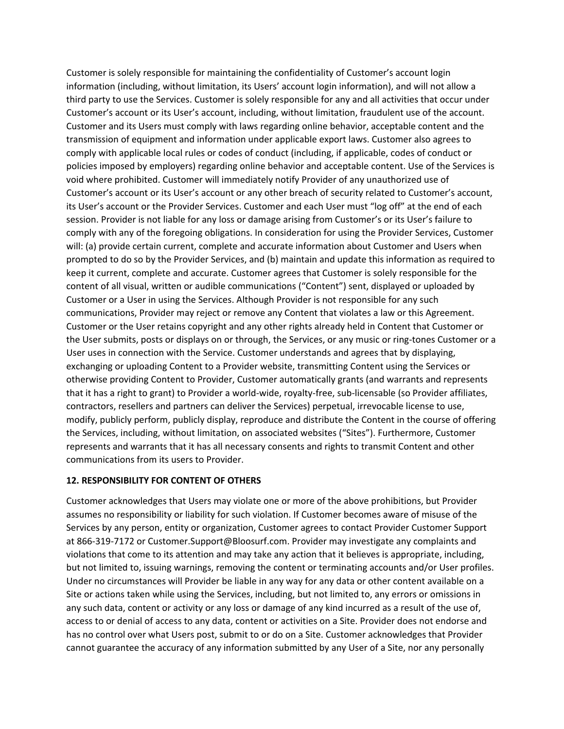Customer is solely responsible for maintaining the confidentiality of Customer's account login information (including, without limitation, its Users' account login information), and will not allow a third party to use the Services. Customer is solely responsible for any and all activities that occur under Customer's account or its User's account, including, without limitation, fraudulent use of the account. Customer and its Users must comply with laws regarding online behavior, acceptable content and the transmission of equipment and information under applicable export laws. Customer also agrees to comply with applicable local rules or codes of conduct (including, if applicable, codes of conduct or policies imposed by employers) regarding online behavior and acceptable content. Use of the Services is void where prohibited. Customer will immediately notify Provider of any unauthorized use of Customer's account or its User's account or any other breach of security related to Customer's account, its User's account or the Provider Services. Customer and each User must "log off" at the end of each session. Provider is not liable for any loss or damage arising from Customer's or its User's failure to comply with any of the foregoing obligations. In consideration for using the Provider Services, Customer will: (a) provide certain current, complete and accurate information about Customer and Users when prompted to do so by the Provider Services, and (b) maintain and update this information as required to keep it current, complete and accurate. Customer agrees that Customer is solely responsible for the content of all visual, written or audible communications ("Content") sent, displayed or uploaded by Customer or a User in using the Services. Although Provider is not responsible for any such communications, Provider may reject or remove any Content that violates a law or this Agreement. Customer or the User retains copyright and any other rights already held in Content that Customer or the User submits, posts or displays on or through, the Services, or any music or ring-tones Customer or a User uses in connection with the Service. Customer understands and agrees that by displaying, exchanging or uploading Content to a Provider website, transmitting Content using the Services or otherwise providing Content to Provider, Customer automatically grants (and warrants and represents that it has a right to grant) to Provider a world-wide, royalty-free, sub-licensable (so Provider affiliates, contractors, resellers and partners can deliver the Services) perpetual, irrevocable license to use, modify, publicly perform, publicly display, reproduce and distribute the Content in the course of offering the Services, including, without limitation, on associated websites ("Sites"). Furthermore, Customer represents and warrants that it has all necessary consents and rights to transmit Content and other communications from its users to Provider.

### **12. RESPONSIBILITY FOR CONTENT OF OTHERS**

Customer acknowledges that Users may violate one or more of the above prohibitions, but Provider assumes no responsibility or liability for such violation. If Customer becomes aware of misuse of the Services by any person, entity or organization, Customer agrees to contact Provider Customer Support at 866-319-7172 or Customer.Support@Bloosurf.com. Provider may investigate any complaints and violations that come to its attention and may take any action that it believes is appropriate, including, but not limited to, issuing warnings, removing the content or terminating accounts and/or User profiles. Under no circumstances will Provider be liable in any way for any data or other content available on a Site or actions taken while using the Services, including, but not limited to, any errors or omissions in any such data, content or activity or any loss or damage of any kind incurred as a result of the use of, access to or denial of access to any data, content or activities on a Site. Provider does not endorse and has no control over what Users post, submit to or do on a Site. Customer acknowledges that Provider cannot guarantee the accuracy of any information submitted by any User of a Site, nor any personally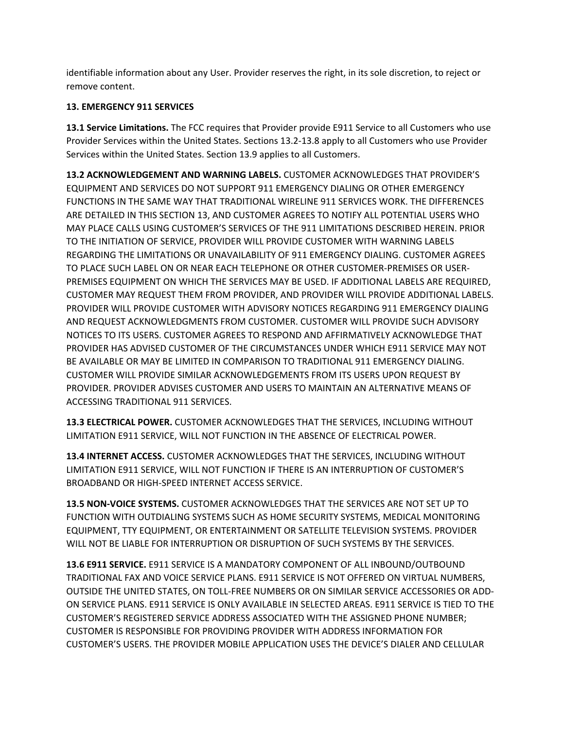identifiable information about any User. Provider reserves the right, in its sole discretion, to reject or remove content.

## **13. EMERGENCY 911 SERVICES**

**13.1 Service Limitations.** The FCC requires that Provider provide E911 Service to all Customers who use Provider Services within the United States. Sections 13.2-13.8 apply to all Customers who use Provider Services within the United States. Section 13.9 applies to all Customers.

**13.2 ACKNOWLEDGEMENT AND WARNING LABELS.** CUSTOMER ACKNOWLEDGES THAT PROVIDER'S EQUIPMENT AND SERVICES DO NOT SUPPORT 911 EMERGENCY DIALING OR OTHER EMERGENCY FUNCTIONS IN THE SAME WAY THAT TRADITIONAL WIRELINE 911 SERVICES WORK. THE DIFFERENCES ARE DETAILED IN THIS SECTION 13, AND CUSTOMER AGREES TO NOTIFY ALL POTENTIAL USERS WHO MAY PLACE CALLS USING CUSTOMER'S SERVICES OF THE 911 LIMITATIONS DESCRIBED HEREIN. PRIOR TO THE INITIATION OF SERVICE, PROVIDER WILL PROVIDE CUSTOMER WITH WARNING LABELS REGARDING THE LIMITATIONS OR UNAVAILABILITY OF 911 EMERGENCY DIALING. CUSTOMER AGREES TO PLACE SUCH LABEL ON OR NEAR EACH TELEPHONE OR OTHER CUSTOMER-PREMISES OR USER-PREMISES EQUIPMENT ON WHICH THE SERVICES MAY BE USED. IF ADDITIONAL LABELS ARE REQUIRED, CUSTOMER MAY REQUEST THEM FROM PROVIDER, AND PROVIDER WILL PROVIDE ADDITIONAL LABELS. PROVIDER WILL PROVIDE CUSTOMER WITH ADVISORY NOTICES REGARDING 911 EMERGENCY DIALING AND REQUEST ACKNOWLEDGMENTS FROM CUSTOMER. CUSTOMER WILL PROVIDE SUCH ADVISORY NOTICES TO ITS USERS. CUSTOMER AGREES TO RESPOND AND AFFIRMATIVELY ACKNOWLEDGE THAT PROVIDER HAS ADVISED CUSTOMER OF THE CIRCUMSTANCES UNDER WHICH E911 SERVICE MAY NOT BE AVAILABLE OR MAY BE LIMITED IN COMPARISON TO TRADITIONAL 911 EMERGENCY DIALING. CUSTOMER WILL PROVIDE SIMILAR ACKNOWLEDGEMENTS FROM ITS USERS UPON REQUEST BY PROVIDER. PROVIDER ADVISES CUSTOMER AND USERS TO MAINTAIN AN ALTERNATIVE MEANS OF ACCESSING TRADITIONAL 911 SERVICES.

**13.3 ELECTRICAL POWER.** CUSTOMER ACKNOWLEDGES THAT THE SERVICES, INCLUDING WITHOUT LIMITATION E911 SERVICE, WILL NOT FUNCTION IN THE ABSENCE OF ELECTRICAL POWER.

**13.4 INTERNET ACCESS.** CUSTOMER ACKNOWLEDGES THAT THE SERVICES, INCLUDING WITHOUT LIMITATION E911 SERVICE, WILL NOT FUNCTION IF THERE IS AN INTERRUPTION OF CUSTOMER'S BROADBAND OR HIGH-SPEED INTERNET ACCESS SERVICE.

**13.5 NON-VOICE SYSTEMS.** CUSTOMER ACKNOWLEDGES THAT THE SERVICES ARE NOT SET UP TO FUNCTION WITH OUTDIALING SYSTEMS SUCH AS HOME SECURITY SYSTEMS, MEDICAL MONITORING EQUIPMENT, TTY EQUIPMENT, OR ENTERTAINMENT OR SATELLITE TELEVISION SYSTEMS. PROVIDER WILL NOT BE LIABLE FOR INTERRUPTION OR DISRUPTION OF SUCH SYSTEMS BY THE SERVICES.

**13.6 E911 SERVICE.** E911 SERVICE IS A MANDATORY COMPONENT OF ALL INBOUND/OUTBOUND TRADITIONAL FAX AND VOICE SERVICE PLANS. E911 SERVICE IS NOT OFFERED ON VIRTUAL NUMBERS, OUTSIDE THE UNITED STATES, ON TOLL-FREE NUMBERS OR ON SIMILAR SERVICE ACCESSORIES OR ADD-ON SERVICE PLANS. E911 SERVICE IS ONLY AVAILABLE IN SELECTED AREAS. E911 SERVICE IS TIED TO THE CUSTOMER'S REGISTERED SERVICE ADDRESS ASSOCIATED WITH THE ASSIGNED PHONE NUMBER; CUSTOMER IS RESPONSIBLE FOR PROVIDING PROVIDER WITH ADDRESS INFORMATION FOR CUSTOMER'S USERS. THE PROVIDER MOBILE APPLICATION USES THE DEVICE'S DIALER AND CELLULAR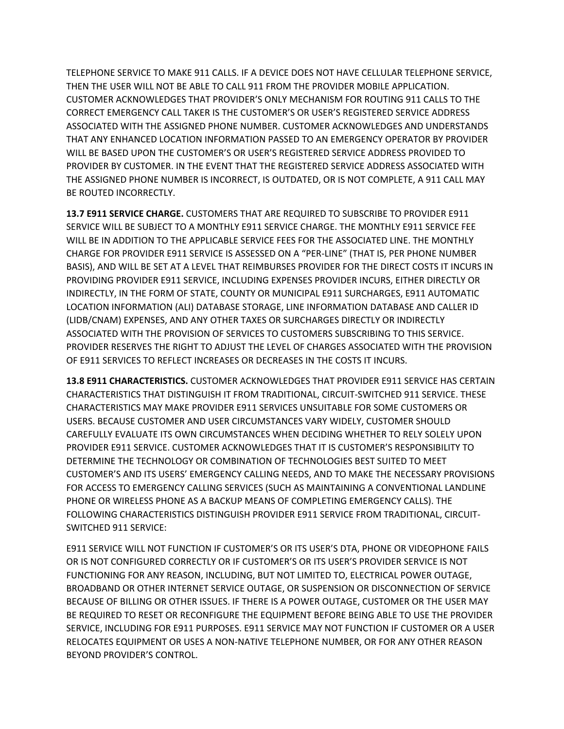TELEPHONE SERVICE TO MAKE 911 CALLS. IF A DEVICE DOES NOT HAVE CELLULAR TELEPHONE SERVICE, THEN THE USER WILL NOT BE ABLE TO CALL 911 FROM THE PROVIDER MOBILE APPLICATION. CUSTOMER ACKNOWLEDGES THAT PROVIDER'S ONLY MECHANISM FOR ROUTING 911 CALLS TO THE CORRECT EMERGENCY CALL TAKER IS THE CUSTOMER'S OR USER'S REGISTERED SERVICE ADDRESS ASSOCIATED WITH THE ASSIGNED PHONE NUMBER. CUSTOMER ACKNOWLEDGES AND UNDERSTANDS THAT ANY ENHANCED LOCATION INFORMATION PASSED TO AN EMERGENCY OPERATOR BY PROVIDER WILL BE BASED UPON THE CUSTOMER'S OR USER'S REGISTERED SERVICE ADDRESS PROVIDED TO PROVIDER BY CUSTOMER. IN THE EVENT THAT THE REGISTERED SERVICE ADDRESS ASSOCIATED WITH THE ASSIGNED PHONE NUMBER IS INCORRECT, IS OUTDATED, OR IS NOT COMPLETE, A 911 CALL MAY BE ROUTED INCORRECTLY.

**13.7 E911 SERVICE CHARGE.** CUSTOMERS THAT ARE REQUIRED TO SUBSCRIBE TO PROVIDER E911 SERVICE WILL BE SUBJECT TO A MONTHLY E911 SERVICE CHARGE. THE MONTHLY E911 SERVICE FEE WILL BE IN ADDITION TO THE APPLICABLE SERVICE FEES FOR THE ASSOCIATED LINE. THE MONTHLY CHARGE FOR PROVIDER E911 SERVICE IS ASSESSED ON A "PER-LINE" (THAT IS, PER PHONE NUMBER BASIS), AND WILL BE SET AT A LEVEL THAT REIMBURSES PROVIDER FOR THE DIRECT COSTS IT INCURS IN PROVIDING PROVIDER E911 SERVICE, INCLUDING EXPENSES PROVIDER INCURS, EITHER DIRECTLY OR INDIRECTLY, IN THE FORM OF STATE, COUNTY OR MUNICIPAL E911 SURCHARGES, E911 AUTOMATIC LOCATION INFORMATION (ALI) DATABASE STORAGE, LINE INFORMATION DATABASE AND CALLER ID (LIDB/CNAM) EXPENSES, AND ANY OTHER TAXES OR SURCHARGES DIRECTLY OR INDIRECTLY ASSOCIATED WITH THE PROVISION OF SERVICES TO CUSTOMERS SUBSCRIBING TO THIS SERVICE. PROVIDER RESERVES THE RIGHT TO ADJUST THE LEVEL OF CHARGES ASSOCIATED WITH THE PROVISION OF E911 SERVICES TO REFLECT INCREASES OR DECREASES IN THE COSTS IT INCURS.

**13.8 E911 CHARACTERISTICS.** CUSTOMER ACKNOWLEDGES THAT PROVIDER E911 SERVICE HAS CERTAIN CHARACTERISTICS THAT DISTINGUISH IT FROM TRADITIONAL, CIRCUIT-SWITCHED 911 SERVICE. THESE CHARACTERISTICS MAY MAKE PROVIDER E911 SERVICES UNSUITABLE FOR SOME CUSTOMERS OR USERS. BECAUSE CUSTOMER AND USER CIRCUMSTANCES VARY WIDELY, CUSTOMER SHOULD CAREFULLY EVALUATE ITS OWN CIRCUMSTANCES WHEN DECIDING WHETHER TO RELY SOLELY UPON PROVIDER E911 SERVICE. CUSTOMER ACKNOWLEDGES THAT IT IS CUSTOMER'S RESPONSIBILITY TO DETERMINE THE TECHNOLOGY OR COMBINATION OF TECHNOLOGIES BEST SUITED TO MEET CUSTOMER'S AND ITS USERS' EMERGENCY CALLING NEEDS, AND TO MAKE THE NECESSARY PROVISIONS FOR ACCESS TO EMERGENCY CALLING SERVICES (SUCH AS MAINTAINING A CONVENTIONAL LANDLINE PHONE OR WIRELESS PHONE AS A BACKUP MEANS OF COMPLETING EMERGENCY CALLS). THE FOLLOWING CHARACTERISTICS DISTINGUISH PROVIDER E911 SERVICE FROM TRADITIONAL, CIRCUIT-SWITCHED 911 SERVICE:

E911 SERVICE WILL NOT FUNCTION IF CUSTOMER'S OR ITS USER'S DTA, PHONE OR VIDEOPHONE FAILS OR IS NOT CONFIGURED CORRECTLY OR IF CUSTOMER'S OR ITS USER'S PROVIDER SERVICE IS NOT FUNCTIONING FOR ANY REASON, INCLUDING, BUT NOT LIMITED TO, ELECTRICAL POWER OUTAGE, BROADBAND OR OTHER INTERNET SERVICE OUTAGE, OR SUSPENSION OR DISCONNECTION OF SERVICE BECAUSE OF BILLING OR OTHER ISSUES. IF THERE IS A POWER OUTAGE, CUSTOMER OR THE USER MAY BE REQUIRED TO RESET OR RECONFIGURE THE EQUIPMENT BEFORE BEING ABLE TO USE THE PROVIDER SERVICE, INCLUDING FOR E911 PURPOSES. E911 SERVICE MAY NOT FUNCTION IF CUSTOMER OR A USER RELOCATES EQUIPMENT OR USES A NON-NATIVE TELEPHONE NUMBER, OR FOR ANY OTHER REASON BEYOND PROVIDER'S CONTROL.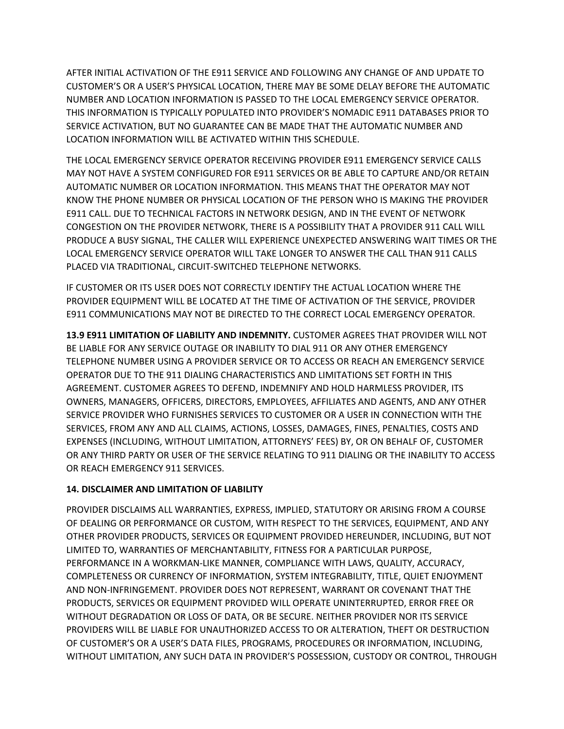AFTER INITIAL ACTIVATION OF THE E911 SERVICE AND FOLLOWING ANY CHANGE OF AND UPDATE TO CUSTOMER'S OR A USER'S PHYSICAL LOCATION, THERE MAY BE SOME DELAY BEFORE THE AUTOMATIC NUMBER AND LOCATION INFORMATION IS PASSED TO THE LOCAL EMERGENCY SERVICE OPERATOR. THIS INFORMATION IS TYPICALLY POPULATED INTO PROVIDER'S NOMADIC E911 DATABASES PRIOR TO SERVICE ACTIVATION, BUT NO GUARANTEE CAN BE MADE THAT THE AUTOMATIC NUMBER AND LOCATION INFORMATION WILL BE ACTIVATED WITHIN THIS SCHEDULE.

THE LOCAL EMERGENCY SERVICE OPERATOR RECEIVING PROVIDER E911 EMERGENCY SERVICE CALLS MAY NOT HAVE A SYSTEM CONFIGURED FOR E911 SERVICES OR BE ABLE TO CAPTURE AND/OR RETAIN AUTOMATIC NUMBER OR LOCATION INFORMATION. THIS MEANS THAT THE OPERATOR MAY NOT KNOW THE PHONE NUMBER OR PHYSICAL LOCATION OF THE PERSON WHO IS MAKING THE PROVIDER E911 CALL. DUE TO TECHNICAL FACTORS IN NETWORK DESIGN, AND IN THE EVENT OF NETWORK CONGESTION ON THE PROVIDER NETWORK, THERE IS A POSSIBILITY THAT A PROVIDER 911 CALL WILL PRODUCE A BUSY SIGNAL, THE CALLER WILL EXPERIENCE UNEXPECTED ANSWERING WAIT TIMES OR THE LOCAL EMERGENCY SERVICE OPERATOR WILL TAKE LONGER TO ANSWER THE CALL THAN 911 CALLS PLACED VIA TRADITIONAL, CIRCUIT-SWITCHED TELEPHONE NETWORKS.

IF CUSTOMER OR ITS USER DOES NOT CORRECTLY IDENTIFY THE ACTUAL LOCATION WHERE THE PROVIDER EQUIPMENT WILL BE LOCATED AT THE TIME OF ACTIVATION OF THE SERVICE, PROVIDER E911 COMMUNICATIONS MAY NOT BE DIRECTED TO THE CORRECT LOCAL EMERGENCY OPERATOR.

**13.9 E911 LIMITATION OF LIABILITY AND INDEMNITY.** CUSTOMER AGREES THAT PROVIDER WILL NOT BE LIABLE FOR ANY SERVICE OUTAGE OR INABILITY TO DIAL 911 OR ANY OTHER EMERGENCY TELEPHONE NUMBER USING A PROVIDER SERVICE OR TO ACCESS OR REACH AN EMERGENCY SERVICE OPERATOR DUE TO THE 911 DIALING CHARACTERISTICS AND LIMITATIONS SET FORTH IN THIS AGREEMENT. CUSTOMER AGREES TO DEFEND, INDEMNIFY AND HOLD HARMLESS PROVIDER, ITS OWNERS, MANAGERS, OFFICERS, DIRECTORS, EMPLOYEES, AFFILIATES AND AGENTS, AND ANY OTHER SERVICE PROVIDER WHO FURNISHES SERVICES TO CUSTOMER OR A USER IN CONNECTION WITH THE SERVICES, FROM ANY AND ALL CLAIMS, ACTIONS, LOSSES, DAMAGES, FINES, PENALTIES, COSTS AND EXPENSES (INCLUDING, WITHOUT LIMITATION, ATTORNEYS' FEES) BY, OR ON BEHALF OF, CUSTOMER OR ANY THIRD PARTY OR USER OF THE SERVICE RELATING TO 911 DIALING OR THE INABILITY TO ACCESS OR REACH EMERGENCY 911 SERVICES.

# **14. DISCLAIMER AND LIMITATION OF LIABILITY**

PROVIDER DISCLAIMS ALL WARRANTIES, EXPRESS, IMPLIED, STATUTORY OR ARISING FROM A COURSE OF DEALING OR PERFORMANCE OR CUSTOM, WITH RESPECT TO THE SERVICES, EQUIPMENT, AND ANY OTHER PROVIDER PRODUCTS, SERVICES OR EQUIPMENT PROVIDED HEREUNDER, INCLUDING, BUT NOT LIMITED TO, WARRANTIES OF MERCHANTABILITY, FITNESS FOR A PARTICULAR PURPOSE, PERFORMANCE IN A WORKMAN-LIKE MANNER, COMPLIANCE WITH LAWS, QUALITY, ACCURACY, COMPLETENESS OR CURRENCY OF INFORMATION, SYSTEM INTEGRABILITY, TITLE, QUIET ENJOYMENT AND NON-INFRINGEMENT. PROVIDER DOES NOT REPRESENT, WARRANT OR COVENANT THAT THE PRODUCTS, SERVICES OR EQUIPMENT PROVIDED WILL OPERATE UNINTERRUPTED, ERROR FREE OR WITHOUT DEGRADATION OR LOSS OF DATA, OR BE SECURE. NEITHER PROVIDER NOR ITS SERVICE PROVIDERS WILL BE LIABLE FOR UNAUTHORIZED ACCESS TO OR ALTERATION, THEFT OR DESTRUCTION OF CUSTOMER'S OR A USER'S DATA FILES, PROGRAMS, PROCEDURES OR INFORMATION, INCLUDING, WITHOUT LIMITATION, ANY SUCH DATA IN PROVIDER'S POSSESSION, CUSTODY OR CONTROL, THROUGH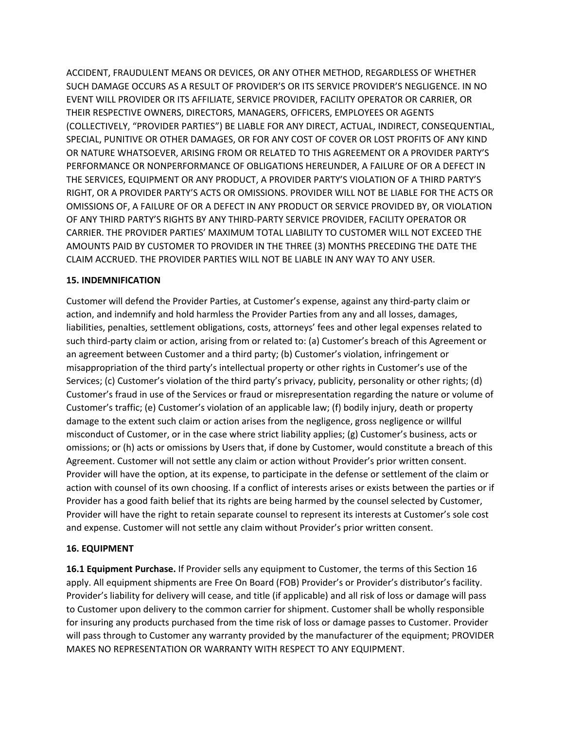ACCIDENT, FRAUDULENT MEANS OR DEVICES, OR ANY OTHER METHOD, REGARDLESS OF WHETHER SUCH DAMAGE OCCURS AS A RESULT OF PROVIDER'S OR ITS SERVICE PROVIDER'S NEGLIGENCE. IN NO EVENT WILL PROVIDER OR ITS AFFILIATE, SERVICE PROVIDER, FACILITY OPERATOR OR CARRIER, OR THEIR RESPECTIVE OWNERS, DIRECTORS, MANAGERS, OFFICERS, EMPLOYEES OR AGENTS (COLLECTIVELY, "PROVIDER PARTIES") BE LIABLE FOR ANY DIRECT, ACTUAL, INDIRECT, CONSEQUENTIAL, SPECIAL, PUNITIVE OR OTHER DAMAGES, OR FOR ANY COST OF COVER OR LOST PROFITS OF ANY KIND OR NATURE WHATSOEVER, ARISING FROM OR RELATED TO THIS AGREEMENT OR A PROVIDER PARTY'S PERFORMANCE OR NONPERFORMANCE OF OBLIGATIONS HEREUNDER, A FAILURE OF OR A DEFECT IN THE SERVICES, EQUIPMENT OR ANY PRODUCT, A PROVIDER PARTY'S VIOLATION OF A THIRD PARTY'S RIGHT, OR A PROVIDER PARTY'S ACTS OR OMISSIONS. PROVIDER WILL NOT BE LIABLE FOR THE ACTS OR OMISSIONS OF, A FAILURE OF OR A DEFECT IN ANY PRODUCT OR SERVICE PROVIDED BY, OR VIOLATION OF ANY THIRD PARTY'S RIGHTS BY ANY THIRD-PARTY SERVICE PROVIDER, FACILITY OPERATOR OR CARRIER. THE PROVIDER PARTIES' MAXIMUM TOTAL LIABILITY TO CUSTOMER WILL NOT EXCEED THE AMOUNTS PAID BY CUSTOMER TO PROVIDER IN THE THREE (3) MONTHS PRECEDING THE DATE THE CLAIM ACCRUED. THE PROVIDER PARTIES WILL NOT BE LIABLE IN ANY WAY TO ANY USER.

#### **15. INDEMNIFICATION**

Customer will defend the Provider Parties, at Customer's expense, against any third-party claim or action, and indemnify and hold harmless the Provider Parties from any and all losses, damages, liabilities, penalties, settlement obligations, costs, attorneys' fees and other legal expenses related to such third-party claim or action, arising from or related to: (a) Customer's breach of this Agreement or an agreement between Customer and a third party; (b) Customer's violation, infringement or misappropriation of the third party's intellectual property or other rights in Customer's use of the Services; (c) Customer's violation of the third party's privacy, publicity, personality or other rights; (d) Customer's fraud in use of the Services or fraud or misrepresentation regarding the nature or volume of Customer's traffic; (e) Customer's violation of an applicable law; (f) bodily injury, death or property damage to the extent such claim or action arises from the negligence, gross negligence or willful misconduct of Customer, or in the case where strict liability applies; (g) Customer's business, acts or omissions; or (h) acts or omissions by Users that, if done by Customer, would constitute a breach of this Agreement. Customer will not settle any claim or action without Provider's prior written consent. Provider will have the option, at its expense, to participate in the defense or settlement of the claim or action with counsel of its own choosing. If a conflict of interests arises or exists between the parties or if Provider has a good faith belief that its rights are being harmed by the counsel selected by Customer, Provider will have the right to retain separate counsel to represent its interests at Customer's sole cost and expense. Customer will not settle any claim without Provider's prior written consent.

### **16. EQUIPMENT**

**16.1 Equipment Purchase.** If Provider sells any equipment to Customer, the terms of this Section 16 apply. All equipment shipments are Free On Board (FOB) Provider's or Provider's distributor's facility. Provider's liability for delivery will cease, and title (if applicable) and all risk of loss or damage will pass to Customer upon delivery to the common carrier for shipment. Customer shall be wholly responsible for insuring any products purchased from the time risk of loss or damage passes to Customer. Provider will pass through to Customer any warranty provided by the manufacturer of the equipment; PROVIDER MAKES NO REPRESENTATION OR WARRANTY WITH RESPECT TO ANY EQUIPMENT.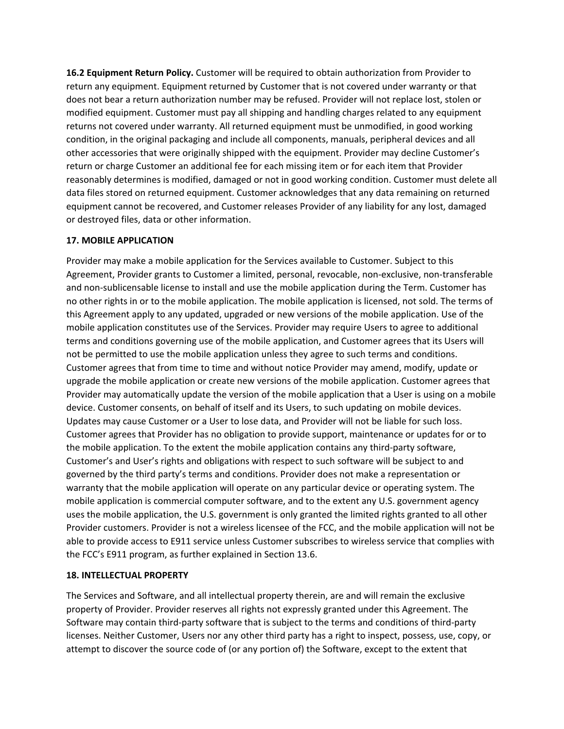**16.2 Equipment Return Policy.** Customer will be required to obtain authorization from Provider to return any equipment. Equipment returned by Customer that is not covered under warranty or that does not bear a return authorization number may be refused. Provider will not replace lost, stolen or modified equipment. Customer must pay all shipping and handling charges related to any equipment returns not covered under warranty. All returned equipment must be unmodified, in good working condition, in the original packaging and include all components, manuals, peripheral devices and all other accessories that were originally shipped with the equipment. Provider may decline Customer's return or charge Customer an additional fee for each missing item or for each item that Provider reasonably determines is modified, damaged or not in good working condition. Customer must delete all data files stored on returned equipment. Customer acknowledges that any data remaining on returned equipment cannot be recovered, and Customer releases Provider of any liability for any lost, damaged or destroyed files, data or other information.

### **17. MOBILE APPLICATION**

Provider may make a mobile application for the Services available to Customer. Subject to this Agreement, Provider grants to Customer a limited, personal, revocable, non-exclusive, non-transferable and non-sublicensable license to install and use the mobile application during the Term. Customer has no other rights in or to the mobile application. The mobile application is licensed, not sold. The terms of this Agreement apply to any updated, upgraded or new versions of the mobile application. Use of the mobile application constitutes use of the Services. Provider may require Users to agree to additional terms and conditions governing use of the mobile application, and Customer agrees that its Users will not be permitted to use the mobile application unless they agree to such terms and conditions. Customer agrees that from time to time and without notice Provider may amend, modify, update or upgrade the mobile application or create new versions of the mobile application. Customer agrees that Provider may automatically update the version of the mobile application that a User is using on a mobile device. Customer consents, on behalf of itself and its Users, to such updating on mobile devices. Updates may cause Customer or a User to lose data, and Provider will not be liable for such loss. Customer agrees that Provider has no obligation to provide support, maintenance or updates for or to the mobile application. To the extent the mobile application contains any third-party software, Customer's and User's rights and obligations with respect to such software will be subject to and governed by the third party's terms and conditions. Provider does not make a representation or warranty that the mobile application will operate on any particular device or operating system. The mobile application is commercial computer software, and to the extent any U.S. government agency uses the mobile application, the U.S. government is only granted the limited rights granted to all other Provider customers. Provider is not a wireless licensee of the FCC, and the mobile application will not be able to provide access to E911 service unless Customer subscribes to wireless service that complies with the FCC's E911 program, as further explained in Section 13.6.

### **18. INTELLECTUAL PROPERTY**

The Services and Software, and all intellectual property therein, are and will remain the exclusive property of Provider. Provider reserves all rights not expressly granted under this Agreement. The Software may contain third-party software that is subject to the terms and conditions of third-party licenses. Neither Customer, Users nor any other third party has a right to inspect, possess, use, copy, or attempt to discover the source code of (or any portion of) the Software, except to the extent that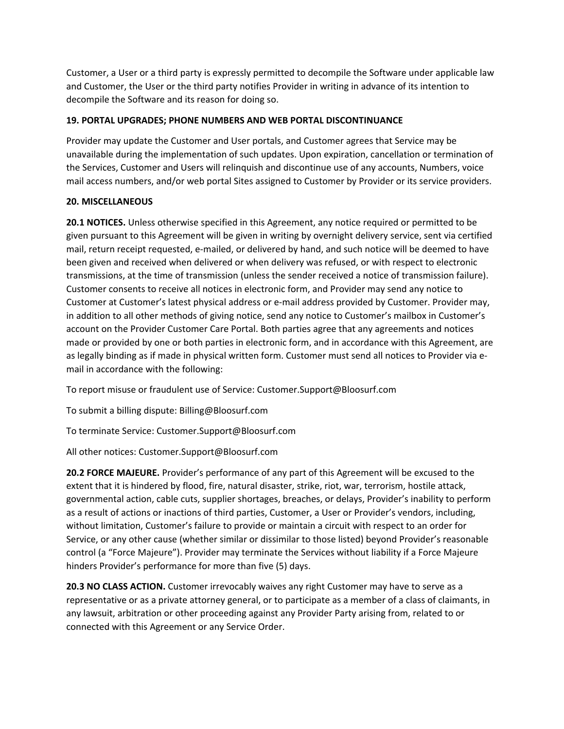Customer, a User or a third party is expressly permitted to decompile the Software under applicable law and Customer, the User or the third party notifies Provider in writing in advance of its intention to decompile the Software and its reason for doing so.

## **19. PORTAL UPGRADES; PHONE NUMBERS AND WEB PORTAL DISCONTINUANCE**

Provider may update the Customer and User portals, and Customer agrees that Service may be unavailable during the implementation of such updates. Upon expiration, cancellation or termination of the Services, Customer and Users will relinquish and discontinue use of any accounts, Numbers, voice mail access numbers, and/or web portal Sites assigned to Customer by Provider or its service providers.

### **20. MISCELLANEOUS**

**20.1 NOTICES.** Unless otherwise specified in this Agreement, any notice required or permitted to be given pursuant to this Agreement will be given in writing by overnight delivery service, sent via certified mail, return receipt requested, e-mailed, or delivered by hand, and such notice will be deemed to have been given and received when delivered or when delivery was refused, or with respect to electronic transmissions, at the time of transmission (unless the sender received a notice of transmission failure). Customer consents to receive all notices in electronic form, and Provider may send any notice to Customer at Customer's latest physical address or e-mail address provided by Customer. Provider may, in addition to all other methods of giving notice, send any notice to Customer's mailbox in Customer's account on the Provider Customer Care Portal. Both parties agree that any agreements and notices made or provided by one or both parties in electronic form, and in accordance with this Agreement, are as legally binding as if made in physical written form. Customer must send all notices to Provider via email in accordance with the following:

To report misuse or fraudulent use of Service: Customer.Support@Bloosurf.com

To submit a billing dispute: Billing@Bloosurf.com

To terminate Service: Customer.Support@Bloosurf.com

All other notices: Customer.Support@Bloosurf.com

**20.2 FORCE MAJEURE.** Provider's performance of any part of this Agreement will be excused to the extent that it is hindered by flood, fire, natural disaster, strike, riot, war, terrorism, hostile attack, governmental action, cable cuts, supplier shortages, breaches, or delays, Provider's inability to perform as a result of actions or inactions of third parties, Customer, a User or Provider's vendors, including, without limitation, Customer's failure to provide or maintain a circuit with respect to an order for Service, or any other cause (whether similar or dissimilar to those listed) beyond Provider's reasonable control (a "Force Majeure"). Provider may terminate the Services without liability if a Force Majeure hinders Provider's performance for more than five (5) days.

20.3 NO CLASS ACTION. Customer irrevocably waives any right Customer may have to serve as a representative or as a private attorney general, or to participate as a member of a class of claimants, in any lawsuit, arbitration or other proceeding against any Provider Party arising from, related to or connected with this Agreement or any Service Order.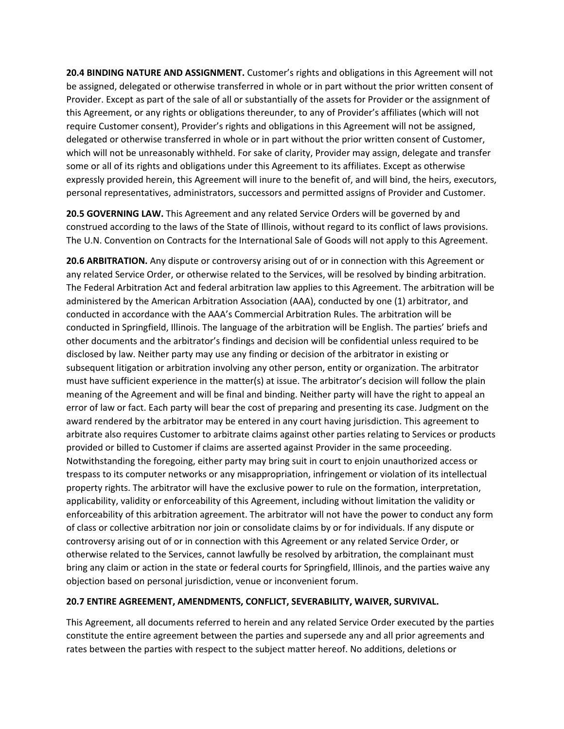**20.4 BINDING NATURE AND ASSIGNMENT.** Customer's rights and obligations in this Agreement will not be assigned, delegated or otherwise transferred in whole or in part without the prior written consent of Provider. Except as part of the sale of all or substantially of the assets for Provider or the assignment of this Agreement, or any rights or obligations thereunder, to any of Provider's affiliates (which will not require Customer consent), Provider's rights and obligations in this Agreement will not be assigned, delegated or otherwise transferred in whole or in part without the prior written consent of Customer, which will not be unreasonably withheld. For sake of clarity, Provider may assign, delegate and transfer some or all of its rights and obligations under this Agreement to its affiliates. Except as otherwise expressly provided herein, this Agreement will inure to the benefit of, and will bind, the heirs, executors, personal representatives, administrators, successors and permitted assigns of Provider and Customer.

**20.5 GOVERNING LAW.** This Agreement and any related Service Orders will be governed by and construed according to the laws of the State of Illinois, without regard to its conflict of laws provisions. The U.N. Convention on Contracts for the International Sale of Goods will not apply to this Agreement.

**20.6 ARBITRATION.** Any dispute or controversy arising out of or in connection with this Agreement or any related Service Order, or otherwise related to the Services, will be resolved by binding arbitration. The Federal Arbitration Act and federal arbitration law applies to this Agreement. The arbitration will be administered by the American Arbitration Association (AAA), conducted by one (1) arbitrator, and conducted in accordance with the AAA's Commercial Arbitration Rules. The arbitration will be conducted in Springfield, Illinois. The language of the arbitration will be English. The parties' briefs and other documents and the arbitrator's findings and decision will be confidential unless required to be disclosed by law. Neither party may use any finding or decision of the arbitrator in existing or subsequent litigation or arbitration involving any other person, entity or organization. The arbitrator must have sufficient experience in the matter(s) at issue. The arbitrator's decision will follow the plain meaning of the Agreement and will be final and binding. Neither party will have the right to appeal an error of law or fact. Each party will bear the cost of preparing and presenting its case. Judgment on the award rendered by the arbitrator may be entered in any court having jurisdiction. This agreement to arbitrate also requires Customer to arbitrate claims against other parties relating to Services or products provided or billed to Customer if claims are asserted against Provider in the same proceeding. Notwithstanding the foregoing, either party may bring suit in court to enjoin unauthorized access or trespass to its computer networks or any misappropriation, infringement or violation of its intellectual property rights. The arbitrator will have the exclusive power to rule on the formation, interpretation, applicability, validity or enforceability of this Agreement, including without limitation the validity or enforceability of this arbitration agreement. The arbitrator will not have the power to conduct any form of class or collective arbitration nor join or consolidate claims by or for individuals. If any dispute or controversy arising out of or in connection with this Agreement or any related Service Order, or otherwise related to the Services, cannot lawfully be resolved by arbitration, the complainant must bring any claim or action in the state or federal courts for Springfield, Illinois, and the parties waive any objection based on personal jurisdiction, venue or inconvenient forum.

# **20.7 ENTIRE AGREEMENT, AMENDMENTS, CONFLICT, SEVERABILITY, WAIVER, SURVIVAL.**

This Agreement, all documents referred to herein and any related Service Order executed by the parties constitute the entire agreement between the parties and supersede any and all prior agreements and rates between the parties with respect to the subject matter hereof. No additions, deletions or